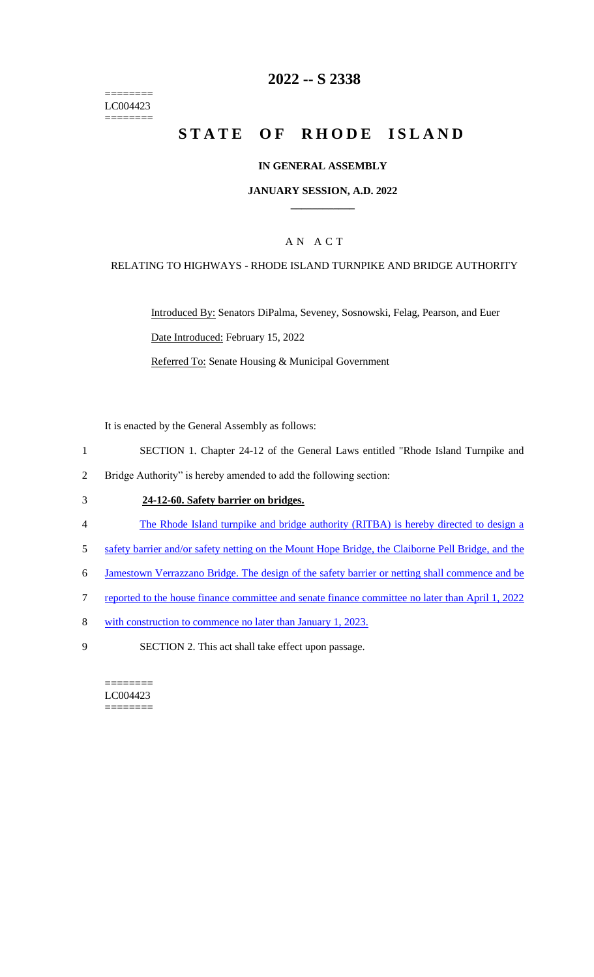======== LC004423 ========

### **2022 -- S 2338**

# **STATE OF RHODE ISLAND**

#### **IN GENERAL ASSEMBLY**

#### **JANUARY SESSION, A.D. 2022 \_\_\_\_\_\_\_\_\_\_\_\_**

### A N A C T

#### RELATING TO HIGHWAYS - RHODE ISLAND TURNPIKE AND BRIDGE AUTHORITY

Introduced By: Senators DiPalma, Seveney, Sosnowski, Felag, Pearson, and Euer Date Introduced: February 15, 2022 Referred To: Senate Housing & Municipal Government

It is enacted by the General Assembly as follows:

- 1 SECTION 1. Chapter 24-12 of the General Laws entitled "Rhode Island Turnpike and
- 2 Bridge Authority" is hereby amended to add the following section:

#### 3 **24-12-60. Safety barrier on bridges.**

- 4 The Rhode Island turnpike and bridge authority (RITBA) is hereby directed to design a
- 5 safety barrier and/or safety netting on the Mount Hope Bridge, the Claiborne Pell Bridge, and the
- 6 Jamestown Verrazzano Bridge. The design of the safety barrier or netting shall commence and be
- 7 reported to the house finance committee and senate finance committee no later than April 1, 2022
- 8 with construction to commence no later than January 1, 2023.
- 9 SECTION 2. This act shall take effect upon passage.

======== LC004423 ========